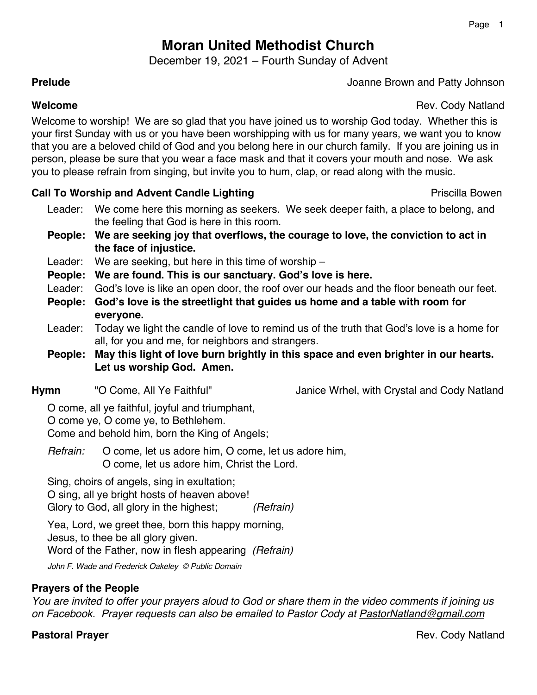# **Moran United Methodist Church**

December 19, 2021 – Fourth Sunday of Advent

**Prelude Prelude Joanne Brown and Patty Johnson** 

**Welcome Rev. Cody Natland** 

Welcome to worship! We are so glad that you have joined us to worship God today. Whether this is your first Sunday with us or you have been worshipping with us for many years, we want you to know that you are a beloved child of God and you belong here in our church family. If you are joining us in person, please be sure that you wear a face mask and that it covers your mouth and nose. We ask you to please refrain from singing, but invite you to hum, clap, or read along with the music.

### **Call To Worship and Advent Candle Lighting <b>Call To Worship and Advent Candle Lighting**

- Leader: We come here this morning as seekers. We seek deeper faith, a place to belong, and the feeling that God is here in this room.
- **People: We are seeking joy that overflows, the courage to love, the conviction to act in the face of injustice.**
- Leader: We are seeking, but here in this time of worship –
- **People: We are found. This is our sanctuary. God's love is here.**
- Leader: God's love is like an open door, the roof over our heads and the floor beneath our feet.
- **People: God's love is the streetlight that guides us home and a table with room for everyone.**
- Leader: Today we light the candle of love to remind us of the truth that God's love is a home for all, for you and me, for neighbors and strangers.

**People: May this light of love burn brightly in this space and even brighter in our hearts. Let us worship God. Amen.**

**Hymn** "O Come, All Ye Faithful" Janice Wrhel, with Crystal and Cody Natland

O come, all ye faithful, joyful and triumphant,

O come ye, O come ye, to Bethlehem.

Come and behold him, born the King of Angels;

*Refrain:* O come, let us adore him, O come, let us adore him, O come, let us adore him, Christ the Lord.

Sing, choirs of angels, sing in exultation; O sing, all ye bright hosts of heaven above! Glory to God, all glory in the highest; *(Refrain)*

Yea, Lord, we greet thee, born this happy morning, Jesus, to thee be all glory given.

Word of the Father, now in flesh appearing *(Refrain)*

*John F. Wade and Frederick Oakeley © Public Domain*

# **Prayers of the People**

*You are invited to offer your prayers aloud to God or share them in the video comments if joining us on Facebook. Prayer requests can also be emailed to Pastor Cody at PastorNatland@gmail.com*

**Pastoral Prayer Community Community Pastoral Prayer Advisors Associated Advisors Advisors Advisors And Advisors A**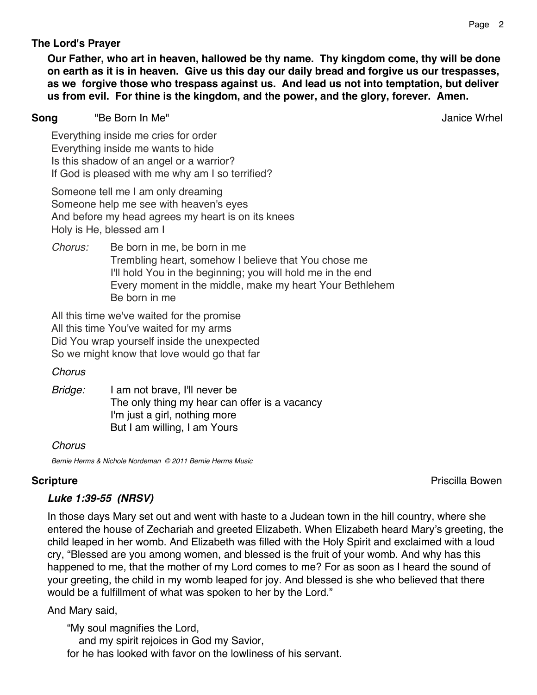#### **The Lord's Prayer**

**Our Father, who art in heaven, hallowed be thy name. Thy kingdom come, thy will be done on earth as it is in heaven. Give us this day our daily bread and forgive us our trespasses, as we forgive those who trespass against us. And lead us not into temptation, but deliver us from evil. For thine is the kingdom, and the power, and the glory, forever. Amen.**

#### **Song The Born In Me" All and Song The Born In Me" All and Song The Unit of the Unit of the Unit of the Unit of the Unit of the Unit of the Unit of the Unit of the Unit of the Unit of the Unit of the Unit of the Unit of th**

Everything inside me cries for order Everything inside me wants to hide Is this shadow of an angel or a warrior? If God is pleased with me why am I so terrified?

Someone tell me I am only dreaming Someone help me see with heaven's eyes And before my head agrees my heart is on its knees Holy is He, blessed am I

*Chorus:* Be born in me, be born in me Trembling heart, somehow I believe that You chose me I'll hold You in the beginning; you will hold me in the end Every moment in the middle, make my heart Your Bethlehem Be born in me

All this time we've waited for the promise All this time You've waited for my arms Did You wrap yourself inside the unexpected So we might know that love would go that far

*Chorus*

*Bridge:* I am not brave, I'll never be The only thing my hear can offer is a vacancy I'm just a girl, nothing more But I am willing, I am Yours

*Chorus*

*Bernie Herms & Nichole Nordeman © 2011 Bernie Herms Music*

**Scripture** Priscilla Bowen

#### *Luke 1:39-55 (NRSV)*

In those days Mary set out and went with haste to a Judean town in the hill country, where she entered the house of Zechariah and greeted Elizabeth. When Elizabeth heard Mary's greeting, the child leaped in her womb. And Elizabeth was filled with the Holy Spirit and exclaimed with a loud cry, "Blessed are you among women, and blessed is the fruit of your womb. And why has this happened to me, that the mother of my Lord comes to me? For as soon as I heard the sound of your greeting, the child in my womb leaped for joy. And blessed is she who believed that there would be a fulfillment of what was spoken to her by the Lord."

And Mary said,

"My soul magnifies the Lord, and my spirit rejoices in God my Savior, for he has looked with favor on the lowliness of his servant.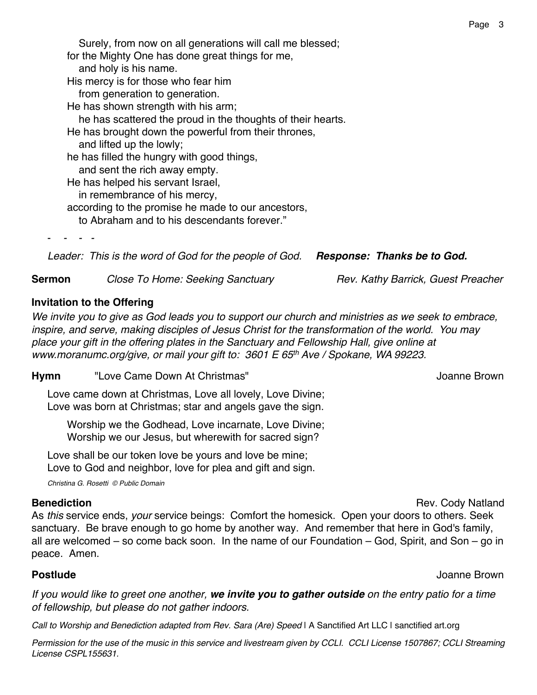Surely, from now on all generations will call me blessed;

for the Mighty One has done great things for me,

and holy is his name.

His mercy is for those who fear him

from generation to generation.

He has shown strength with his arm;

he has scattered the proud in the thoughts of their hearts.

He has brought down the powerful from their thrones,

and lifted up the lowly;

he has filled the hungry with good things,

and sent the rich away empty.

He has helped his servant Israel,

in remembrance of his mercy,

according to the promise he made to our ancestors,

to Abraham and to his descendants forever."

- *- - -*

*Leader: This is the word of God for the people of God. Response: Thanks be to God.*

**Sermon** *Close To Home: Seeking Sanctuary <i>Rev. Kathy Barrick, Guest Preacher* 

#### **Invitation to the Offering**

*We invite you to give as God leads you to support our church and ministries as we seek to embrace, inspire, and serve, making disciples of Jesus Christ for the transformation of the world. You may place your gift in the offering plates in the Sanctuary and Fellowship Hall, give online at www.moranumc.org/give, or mail your gift to: 3601 E 65th Ave / Spokane, WA 99223.*

**Hymn** "Love Came Down At Christmas" **Hymn** Joanne Brown

Love came down at Christmas, Love all lovely, Love Divine; Love was born at Christmas; star and angels gave the sign.

Worship we the Godhead, Love incarnate, Love Divine; Worship we our Jesus, but wherewith for sacred sign?

Love shall be our token love be yours and love be mine; Love to God and neighbor, love for plea and gift and sign.

*Christina G. Rosetti © Public Domain*

**Benediction** Rev. Cody Natland As *this* service ends, *your* service beings: Comfort the homesick. Open your doors to others. Seek sanctuary. Be brave enough to go home by another way. And remember that here in God's family, all are welcomed – so come back soon. In the name of our Foundation – God, Spirit, and Son – go in peace. Amen.

**Postlude** Joanne Brown

*If you would like to greet one another, we invite you to gather outside on the entry patio for a time of fellowship, but please do not gather indoors.*

*Call to Worship and Benediction adapted from Rev. Sara (Are) Speed* | A Sanctified Art LLC | sanctified art.org

*Permission for the use of the music in this service and livestream given by CCLI. CCLI License 1507867; CCLI Streaming License CSPL155631.*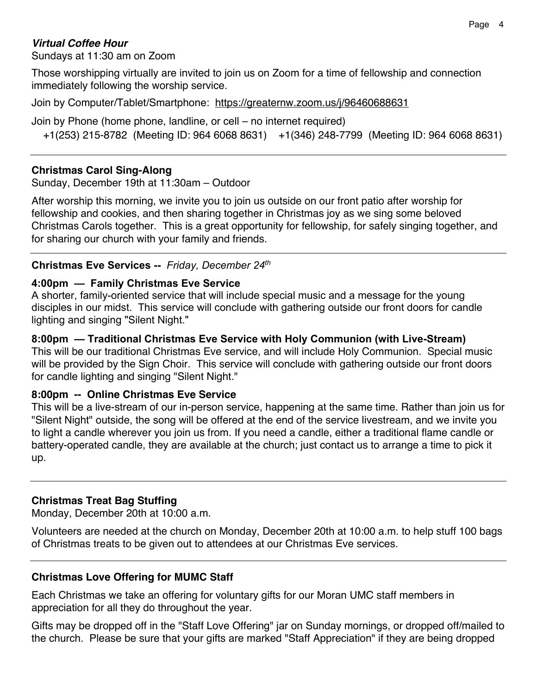# *Virtual Coffee Hour*

Sundays at 11:30 am on Zoom

Those worshipping virtually are invited to join us on Zoom for a time of fellowship and connection immediately following the worship service.

Join by Computer/Tablet/Smartphone: https://greaternw.zoom.us/j/96460688631

Join by Phone (home phone, landline, or cell – no internet required)

```
 +1(253) 215-8782 (Meeting ID: 964 6068 8631) +1(346) 248-7799 (Meeting ID: 964 6068 8631)
```
### **Christmas Carol Sing-Along**

Sunday, December 19th at 11:30am – Outdoor

After worship this morning, we invite you to join us outside on our front patio after worship for fellowship and cookies, and then sharing together in Christmas joy as we sing some beloved Christmas Carols together. This is a great opportunity for fellowship, for safely singing together, and for sharing our church with your family and friends.

#### **Christmas Eve Services --** *Friday, December 24th*

#### **4:00pm — Family Christmas Eve Service**

A shorter, family-oriented service that will include special music and a message for the young disciples in our midst. This service will conclude with gathering outside our front doors for candle lighting and singing "Silent Night."

### **8:00pm — Traditional Christmas Eve Service with Holy Communion (with Live-Stream)**

This will be our traditional Christmas Eve service, and will include Holy Communion. Special music will be provided by the Sign Choir. This service will conclude with gathering outside our front doors for candle lighting and singing "Silent Night."

#### **8:00pm -- Online Christmas Eve Service**

This will be a live-stream of our in-person service, happening at the same time. Rather than join us for "Silent Night" outside, the song will be offered at the end of the service livestream, and we invite you to light a candle wherever you join us from. If you need a candle, either a traditional flame candle or battery-operated candle, they are available at the church; just contact us to arrange a time to pick it up.

#### **Christmas Treat Bag Stuffing**

Monday, December 20th at 10:00 a.m.

Volunteers are needed at the church on Monday, December 20th at 10:00 a.m. to help stuff 100 bags of Christmas treats to be given out to attendees at our Christmas Eve services.

# **Christmas Love Offering for MUMC Staff**

Each Christmas we take an offering for voluntary gifts for our Moran UMC staff members in appreciation for all they do throughout the year.

Gifts may be dropped off in the "Staff Love Offering" jar on Sunday mornings, or dropped off/mailed to the church. Please be sure that your gifts are marked "Staff Appreciation" if they are being dropped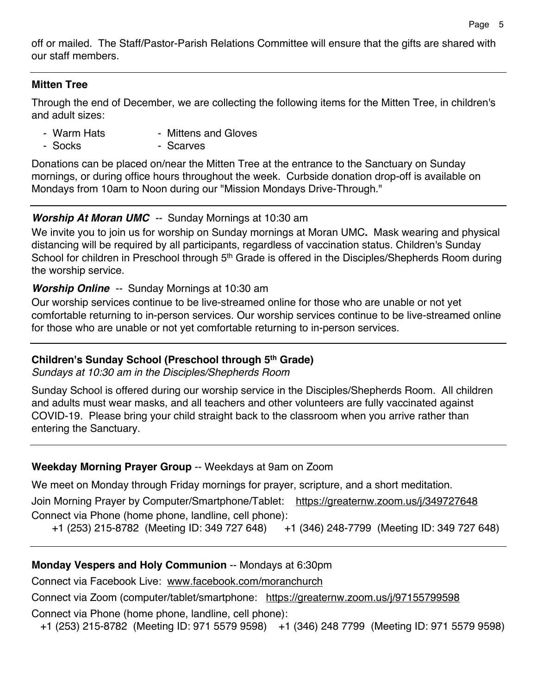off or mailed. The Staff/Pastor-Parish Relations Committee will ensure that the gifts are shared with our staff members.

#### **Mitten Tree**

Through the end of December, we are collecting the following items for the Mitten Tree, in children's and adult sizes:

- Warm Hats Mittens and Gloves
- Socks Scarves

Donations can be placed on/near the Mitten Tree at the entrance to the Sanctuary on Sunday mornings, or during office hours throughout the week. Curbside donation drop-off is available on Mondays from 10am to Noon during our "Mission Mondays Drive-Through."

### *Worship At Moran UMC --* Sunday Mornings at 10:30 am

We invite you to join us for worship on Sunday mornings at Moran UMC**.** Mask wearing and physical distancing will be required by all participants, regardless of vaccination status. Children's Sunday School for children in Preschool through 5<sup>th</sup> Grade is offered in the Disciples/Shepherds Room during the worship service.

### *Worship Online --* Sunday Mornings at 10:30 am

Our worship services continue to be live-streamed online for those who are unable or not yet comfortable returning to in-person services. Our worship services continue to be live-streamed online for those who are unable or not yet comfortable returning to in-person services.

# **Children's Sunday School (Preschool through 5th Grade)**

*Sundays at 10:30 am in the Disciples/Shepherds Room*

Sunday School is offered during our worship service in the Disciples/Shepherds Room. All children and adults must wear masks, and all teachers and other volunteers are fully vaccinated against COVID-19. Please bring your child straight back to the classroom when you arrive rather than entering the Sanctuary.

#### **Weekday Morning Prayer Group** -- Weekdays at 9am on Zoom

We meet on Monday through Friday mornings for prayer, scripture, and a short meditation.

Join Morning Prayer by Computer/Smartphone/Tablet: https://greaternw.zoom.us/j/349727648 Connect via Phone (home phone, landline, cell phone):

+1 (253) 215-8782 (Meeting ID: 349 727 648) +1 (346) 248-7799 (Meeting ID: 349 727 648)

# **Monday Vespers and Holy Communion** -- Mondays at 6:30pm

Connect via Facebook Live: www.facebook.com/moranchurch

Connect via Zoom (computer/tablet/smartphone: https://greaternw.zoom.us/j/97155799598

Connect via Phone (home phone, landline, cell phone):

+1 (253) 215-8782 (Meeting ID: 971 5579 9598) +1 (346) 248 7799 (Meeting ID: 971 5579 9598)